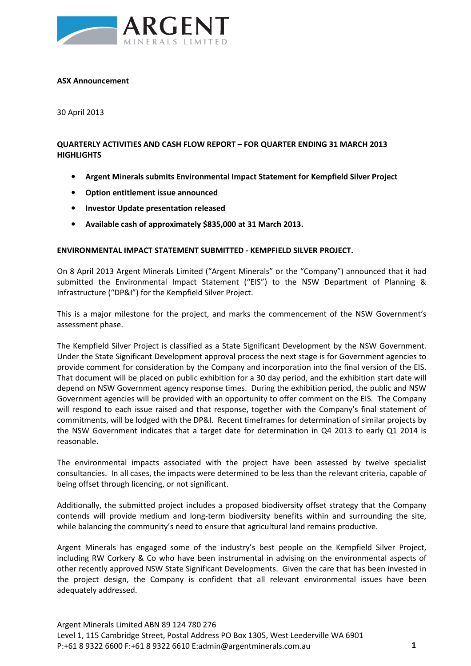

#### **ASX Announcement**

30 April 2013

## **QUARTERLY ACTIVITIES AND CASH FLOW REPORT – FOR QUARTER ENDING 31 MARCH 2013 HIGHLIGHTS**

- **Argent Minerals submits Environmental Impact Statement for Kempfield Silver Project**
- **Option entitlement issue announced**
- **Investor Update presentation released**
- **Available cash of approximately \$835,000 at 31 March 2013.**

#### **ENVIRONMENTAL IMPACT STATEMENT SUBMITTED - KEMPFIELD SILVER PROJECT.**

On 8 April 2013 Argent Minerals Limited ("Argent Minerals" or the "Company") announced that it had submitted the Environmental Impact Statement ("EIS") to the NSW Department of Planning & Infrastructure ("DP&I") for the Kempfield Silver Project.

This is a major milestone for the project, and marks the commencement of the NSW Government's assessment phase.

The Kempfield Silver Project is classified as a State Significant Development by the NSW Government. Under the State Significant Development approval process the next stage is for Government agencies to provide comment for consideration by the Company and incorporation into the final version of the EIS. That document will be placed on public exhibition for a 30 day period, and the exhibition start date will depend on NSW Government agency response times. During the exhibition period, the public and NSW Government agencies will be provided with an opportunity to offer comment on the EIS. The Company will respond to each issue raised and that response, together with the Company's final statement of commitments, will be lodged with the DP&I. Recent timeframes for determination of similar projects by the NSW Government indicates that a target date for determination in Q4 2013 to early Q1 2014 is reasonable.

The environmental impacts associated with the project have been assessed by twelve specialist consultancies. In all cases, the impacts were determined to be less than the relevant criteria, capable of being offset through licencing, or not significant.

Additionally, the submitted project includes a proposed biodiversity offset strategy that the Company contends will provide medium and long-term biodiversity benefits within and surrounding the site, while balancing the community's need to ensure that agricultural land remains productive.

Argent Minerals has engaged some of the industry's best people on the Kempfield Silver Project, including RW Corkery & Co who have been instrumental in advising on the environmental aspects of other recently approved NSW State Significant Developments. Given the care that has been invested in the project design, the Company is confident that all relevant environmental issues have been adequately addressed.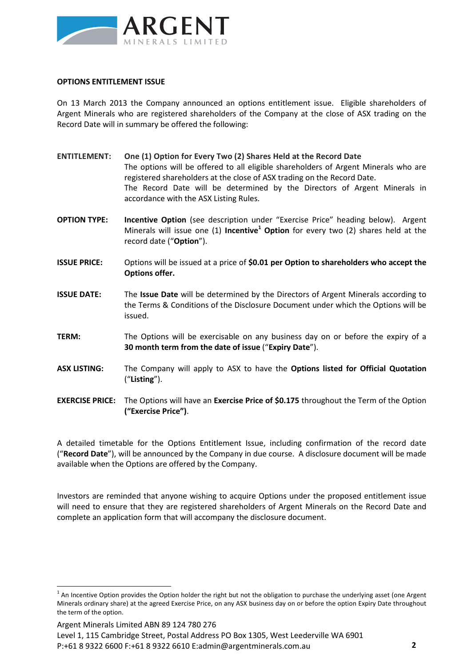

#### **OPTIONS ENTITLEMENT ISSUE**

On 13 March 2013 the Company announced an options entitlement issue. Eligible shareholders of Argent Minerals who are registered shareholders of the Company at the close of ASX trading on the Record Date will in summary be offered the following:

- **ENTITLEMENT: One (1) Option for Every Two (2) Shares Held at the Record Date**  The options will be offered to all eligible shareholders of Argent Minerals who are registered shareholders at the close of ASX trading on the Record Date. The Record Date will be determined by the Directors of Argent Minerals in accordance with the ASX Listing Rules. **OPTION TYPE: Incentive Option** (see description under "Exercise Price" heading below). Argent
- Minerals will issue one (1) **Incentive<sup>1</sup> Option** for every two (2) shares held at the record date ("**Option**").
- **ISSUE PRICE:** Options will be issued at a price of **\$0.01 per Option to shareholders who accept the Options offer.**
- **ISSUE DATE:** The **Issue Date** will be determined by the Directors of Argent Minerals according to the Terms & Conditions of the Disclosure Document under which the Options will be issued.
- **TERM:** The Options will be exercisable on any business day on or before the expiry of a **30 month term from the date of issue** ("**Expiry Date**").
- **ASX LISTING:** The Company will apply to ASX to have the **Options listed for Official Quotation** ("**Listing**").
- **EXERCISE PRICE:** The Options will have an **Exercise Price of \$0.175** throughout the Term of the Option **("Exercise Price")**.

A detailed timetable for the Options Entitlement Issue, including confirmation of the record date ("**Record Date**"), will be announced by the Company in due course. A disclosure document will be made available when the Options are offered by the Company.

Investors are reminded that anyone wishing to acquire Options under the proposed entitlement issue will need to ensure that they are registered shareholders of Argent Minerals on the Record Date and complete an application form that will accompany the disclosure document.

Argent Minerals Limited ABN 89 124 780 276

l

Level 1, 115 Cambridge Street, Postal Address PO Box 1305, West Leederville WA 6901 P:+61 8 9322 6600 F:+61 8 9322 6610 E:admin@argentminerals.com.au **2**

 $^1$  An Incentive Option provides the Option holder the right but not the obligation to purchase the underlying asset (one Argent Minerals ordinary share) at the agreed Exercise Price, on any ASX business day on or before the option Expiry Date throughout the term of the option.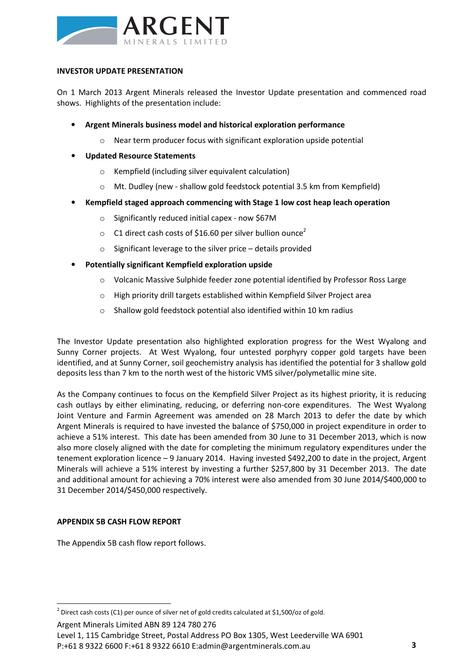

## **INVESTOR UPDATE PRESENTATION**

On 1 March 2013 Argent Minerals released the Investor Update presentation and commenced road shows. Highlights of the presentation include:

- **Argent Minerals business model and historical exploration performance** 
	- Near term producer focus with significant exploration upside potential
- **Updated Resource Statements** 
	- o Kempfield (including silver equivalent calculation)
	- o Mt. Dudley (new shallow gold feedstock potential 3.5 km from Kempfield)
- **Kempfield staged approach commencing with Stage 1 low cost heap leach operation** 
	- o Significantly reduced initial capex now \$67M
	- $\circ$  C1 direct cash costs of \$16.60 per silver bullion ounce<sup>2</sup>
	- $\circ$  Significant leverage to the silver price details provided
- **Potentially significant Kempfield exploration upside** 
	- o Volcanic Massive Sulphide feeder zone potential identified by Professor Ross Large
	- o High priority drill targets established within Kempfield Silver Project area
	- o Shallow gold feedstock potential also identified within 10 km radius

The Investor Update presentation also highlighted exploration progress for the West Wyalong and Sunny Corner projects. At West Wyalong, four untested porphyry copper gold targets have been identified, and at Sunny Corner, soil geochemistry analysis has identified the potential for 3 shallow gold deposits less than 7 km to the north west of the historic VMS silver/polymetallic mine site.

As the Company continues to focus on the Kempfield Silver Project as its highest priority, it is reducing cash outlays by either eliminating, reducing, or deferring non-core expenditures. The West Wyalong Joint Venture and Farmin Agreement was amended on 28 March 2013 to defer the date by which Argent Minerals is required to have invested the balance of \$750,000 in project expenditure in order to achieve a 51% interest. This date has been amended from 30 June to 31 December 2013, which is now also more closely aligned with the date for completing the minimum regulatory expenditures under the tenement exploration licence – 9 January 2014. Having invested \$492,200 to date in the project, Argent Minerals will achieve a 51% interest by investing a further \$257,800 by 31 December 2013. The date and additional amount for achieving a 70% interest were also amended from 30 June 2014/\$400,000 to 31 December 2014/\$450,000 respectively.

## **APPENDIX 5B CASH FLOW REPORT**

 $\overline{a}$ 

The Appendix 5B cash flow report follows.

Argent Minerals Limited ABN 89 124 780 276

Level 1, 115 Cambridge Street, Postal Address PO Box 1305, West Leederville WA 6901 P:+61 8 9322 6600 F:+61 8 9322 6610 E:admin@argentminerals.com.au **3**

<sup>&</sup>lt;sup>2</sup> Direct cash costs (C1) per ounce of silver net of gold credits calculated at \$1,500/oz of gold.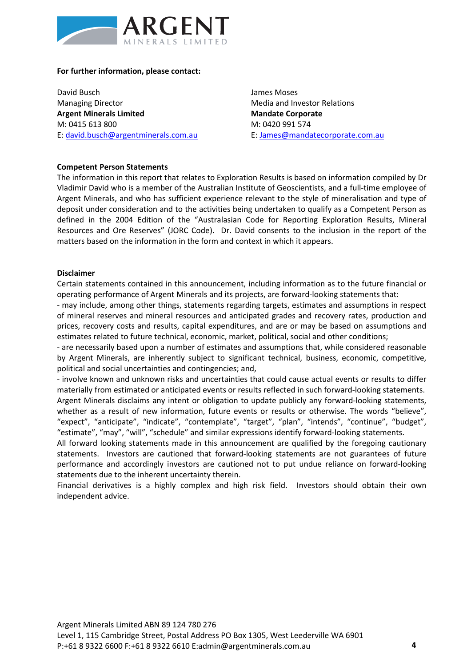

#### **For further information, please contact:**

David Busch Managing Director **Argent Minerals Limited**  M: 0415 613 800 E: david.busch@argentminerals.com.au James Moses Media and Investor Relations **Mandate Corporate**  M: 0420 991 574 E: James@mandatecorporate.com.au

#### **Competent Person Statements**

The information in this report that relates to Exploration Results is based on information compiled by Dr Vladimir David who is a member of the Australian Institute of Geoscientists, and a full-time employee of Argent Minerals, and who has sufficient experience relevant to the style of mineralisation and type of deposit under consideration and to the activities being undertaken to qualify as a Competent Person as defined in the 2004 Edition of the "Australasian Code for Reporting Exploration Results, Mineral Resources and Ore Reserves" (JORC Code). Dr. David consents to the inclusion in the report of the matters based on the information in the form and context in which it appears.

#### **Disclaimer**

Certain statements contained in this announcement, including information as to the future financial or operating performance of Argent Minerals and its projects, are forward-looking statements that:

- may include, among other things, statements regarding targets, estimates and assumptions in respect of mineral reserves and mineral resources and anticipated grades and recovery rates, production and prices, recovery costs and results, capital expenditures, and are or may be based on assumptions and estimates related to future technical, economic, market, political, social and other conditions;

- are necessarily based upon a number of estimates and assumptions that, while considered reasonable by Argent Minerals, are inherently subject to significant technical, business, economic, competitive, political and social uncertainties and contingencies; and,

- involve known and unknown risks and uncertainties that could cause actual events or results to differ materially from estimated or anticipated events or results reflected in such forward-looking statements.

Argent Minerals disclaims any intent or obligation to update publicly any forward-looking statements, whether as a result of new information, future events or results or otherwise. The words "believe", "expect", "anticipate", "indicate", "contemplate", "target", "plan", "intends", "continue", "budget", "estimate", "may", "will", "schedule" and similar expressions identify forward-looking statements.

All forward looking statements made in this announcement are qualified by the foregoing cautionary statements. Investors are cautioned that forward-looking statements are not guarantees of future performance and accordingly investors are cautioned not to put undue reliance on forward-looking statements due to the inherent uncertainty therein.

Financial derivatives is a highly complex and high risk field. Investors should obtain their own independent advice.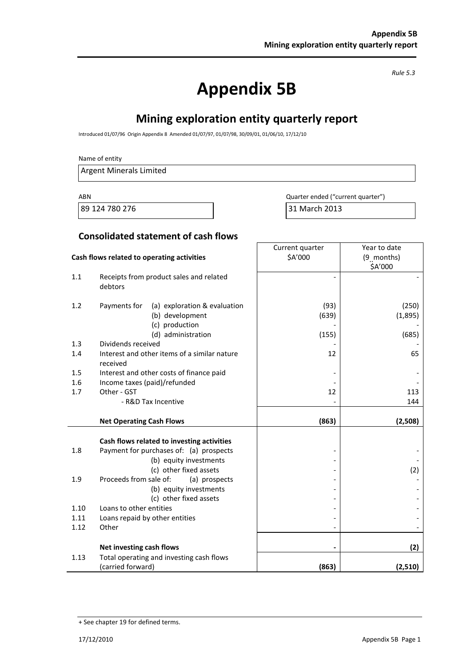*Rule 5.3* 

# **Appendix 5B**

# **Mining exploration entity quarterly report**

Introduced 01/07/96 Origin Appendix 8 Amended 01/07/97, 01/07/98, 30/09/01, 01/06/10, 17/12/10

#### Name of entity

Argent Minerals Limited

89 124 780 276 2013 2013 2014 2015 2017 2018 2019

ABN **ABN** Quarter ended ("current quarter")

Year to date

Current quarter

## **Consolidated statement of cash flows**

|      | Cash flows related to operating activities                                        | \$A'000       | (9 months)<br>\$A'000 |  |
|------|-----------------------------------------------------------------------------------|---------------|-----------------------|--|
| 1.1  | Receipts from product sales and related<br>debtors                                |               |                       |  |
| 1.2  | (a) exploration & evaluation<br>Payments for<br>(b) development<br>(c) production | (93)<br>(639) | (250)<br>(1,895)      |  |
|      | (d) administration                                                                | (155)         | (685)                 |  |
| 1.3  | Dividends received                                                                |               |                       |  |
| 1.4  | Interest and other items of a similar nature<br>received                          | 12            | 65                    |  |
| 1.5  | Interest and other costs of finance paid                                          |               |                       |  |
| 1.6  | Income taxes (paid)/refunded                                                      |               |                       |  |
| 1.7  | Other - GST                                                                       | 12            | 113                   |  |
|      | - R&D Tax Incentive                                                               |               | 144                   |  |
|      |                                                                                   |               |                       |  |
|      | <b>Net Operating Cash Flows</b>                                                   | (863)         | (2,508)               |  |
|      | Cash flows related to investing activities                                        |               |                       |  |
| 1.8  | Payment for purchases of: (a) prospects                                           |               |                       |  |
|      | (b) equity investments                                                            |               |                       |  |
|      | (c) other fixed assets                                                            |               | (2)                   |  |
| 1.9  | Proceeds from sale of:<br>(a) prospects                                           |               |                       |  |
|      | (b) equity investments                                                            |               |                       |  |
|      | (c) other fixed assets                                                            |               |                       |  |
| 1.10 | Loans to other entities                                                           |               |                       |  |
| 1.11 | Loans repaid by other entities                                                    |               |                       |  |
| 1.12 | Other                                                                             |               |                       |  |
|      | Net investing cash flows                                                          |               | (2)                   |  |
| 1.13 | Total operating and investing cash flows                                          |               | (2,510)               |  |

<sup>+</sup> See chapter 19 for defined terms.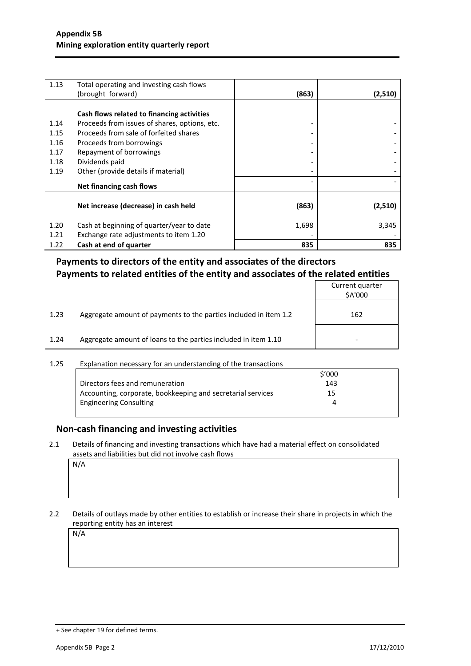| 1.13 | Total operating and investing cash flows<br>(brought forward) | (863)                    | (2,510) |
|------|---------------------------------------------------------------|--------------------------|---------|
|      |                                                               |                          |         |
|      | Cash flows related to financing activities                    |                          |         |
| 1.14 | Proceeds from issues of shares, options, etc.                 | -                        |         |
| 1.15 | Proceeds from sale of forfeited shares                        |                          |         |
| 1.16 | Proceeds from borrowings                                      |                          |         |
| 1.17 | Repayment of borrowings                                       |                          |         |
| 1.18 | Dividends paid                                                |                          |         |
| 1.19 | Other (provide details if material)                           |                          |         |
|      | Net financing cash flows                                      | $\overline{\phantom{a}}$ |         |
|      |                                                               |                          |         |
|      | Net increase (decrease) in cash held                          | (863)                    | (2,510) |
| 1.20 | Cash at beginning of quarter/year to date                     | 1,698                    | 3,345   |
| 1.21 | Exchange rate adjustments to item 1.20                        |                          |         |
| 1.22 | Cash at end of quarter                                        | 835                      | 835     |

## **Payments to directors of the entity and associates of the directors Payments to related entities of the entity and associates of the related entities**

|      |                                                                  | Current quarter<br>\$A'000 |
|------|------------------------------------------------------------------|----------------------------|
| 1.23 | Aggregate amount of payments to the parties included in item 1.2 | 162                        |
| 1.24 | Aggregate amount of loans to the parties included in item 1.10   |                            |
|      |                                                                  |                            |

### 1.25 Explanation necessary for an understanding of the transactions

|                                                             | \$'000 |  |
|-------------------------------------------------------------|--------|--|
| Directors fees and remuneration                             | 143    |  |
| Accounting, corporate, bookkeeping and secretarial services | 15.    |  |
| <b>Engineering Consulting</b>                               |        |  |
|                                                             |        |  |

## **Non-cash financing and investing activities**

2.1 Details of financing and investing transactions which have had a material effect on consolidated assets and liabilities but did not involve cash flows

N/A

#### 2.2 Details of outlays made by other entities to establish or increase their share in projects in which the reporting entity has an interest

N/A

<sup>+</sup> See chapter 19 for defined terms.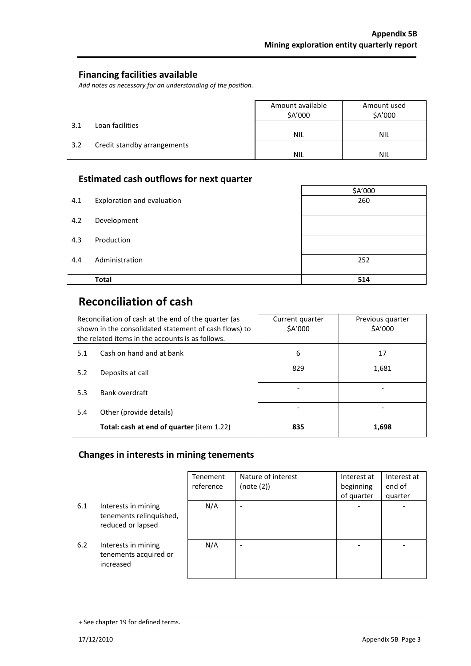## **Financing facilities available**

*Add notes as necessary for an understanding of the position.* 

|     |                             | Amount available<br>\$A'000 | Amount used<br>\$A'000 |
|-----|-----------------------------|-----------------------------|------------------------|
| 3.1 | Loan facilities             |                             |                        |
|     |                             | <b>NIL</b>                  | <b>NIL</b>             |
| 3.2 | Credit standby arrangements |                             |                        |
|     |                             | NIL                         | <b>NIL</b>             |

## **Estimated cash outflows for next quarter**

|     |                            | \$A'000 |
|-----|----------------------------|---------|
| 4.1 | Exploration and evaluation | 260     |
| 4.2 | Development                |         |
| 4.3 | Production                 |         |
| 4.4 | Administration             | 252     |
|     | <b>Total</b>               | 514     |

## **Reconciliation of cash**

J.

| Reconciliation of cash at the end of the quarter (as<br>shown in the consolidated statement of cash flows) to<br>the related items in the accounts is as follows. |                                           | Current quarter<br><b>SA'000</b> | Previous quarter<br>\$A'000 |
|-------------------------------------------------------------------------------------------------------------------------------------------------------------------|-------------------------------------------|----------------------------------|-----------------------------|
| 5.1                                                                                                                                                               | Cash on hand and at bank                  | 6                                | 17                          |
| 5.2                                                                                                                                                               | Deposits at call                          | 829                              | 1,681                       |
| 5.3                                                                                                                                                               | Bank overdraft                            |                                  |                             |
| 5.4                                                                                                                                                               | Other (provide details)                   |                                  |                             |
|                                                                                                                                                                   | Total: cash at end of quarter (item 1.22) | 835                              | 1,698                       |

## **Changes in interests in mining tenements**

|     |                                                                     | Tenement<br>reference | Nature of interest<br>(note (2)) | Interest at<br>beginning<br>of quarter | Interest at<br>end of<br>quarter |
|-----|---------------------------------------------------------------------|-----------------------|----------------------------------|----------------------------------------|----------------------------------|
| 6.1 | Interests in mining<br>tenements relinquished,<br>reduced or lapsed | N/A                   |                                  | $\overline{\phantom{a}}$               |                                  |
| 6.2 | Interests in mining<br>tenements acquired or<br>increased           | N/A                   |                                  |                                        |                                  |

<sup>+</sup> See chapter 19 for defined terms.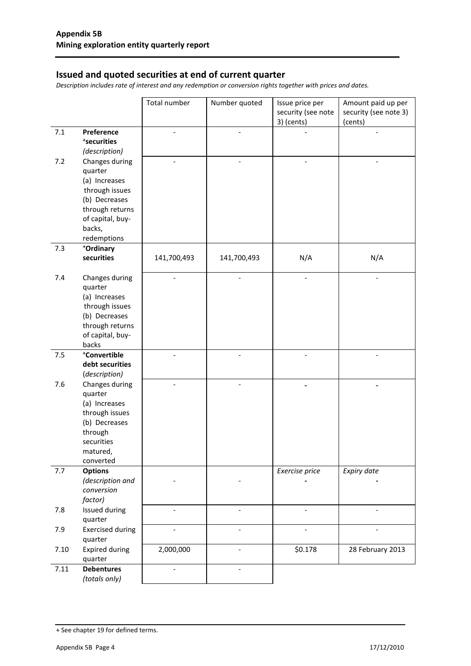## **Issued and quoted securities at end of current quarter**

*Description includes rate of interest and any redemption or conversion rights together with prices and dates.* 

|       |                                 | Total number                 | Number quoted            | Issue price per<br>security (see note | Amount paid up per<br>security (see note 3) |
|-------|---------------------------------|------------------------------|--------------------------|---------------------------------------|---------------------------------------------|
|       |                                 |                              |                          | 3) (cents)                            | (cents)                                     |
| $7.1$ | Preference                      |                              |                          |                                       |                                             |
|       | *securities                     |                              |                          |                                       |                                             |
|       | (description)                   |                              |                          |                                       |                                             |
| 7.2   | Changes during                  |                              |                          |                                       |                                             |
|       | quarter<br>(a) Increases        |                              |                          |                                       |                                             |
|       | through issues                  |                              |                          |                                       |                                             |
|       | (b) Decreases                   |                              |                          |                                       |                                             |
|       | through returns                 |                              |                          |                                       |                                             |
|       | of capital, buy-                |                              |                          |                                       |                                             |
|       | backs,                          |                              |                          |                                       |                                             |
|       | redemptions                     |                              |                          |                                       |                                             |
| 7.3   | *Ordinary                       |                              |                          |                                       |                                             |
|       | securities                      | 141,700,493                  | 141,700,493              | N/A                                   | N/A                                         |
| 7.4   | Changes during                  | $\overline{a}$               | $\overline{\phantom{a}}$ | $\overline{a}$                        |                                             |
|       | quarter                         |                              |                          |                                       |                                             |
|       | (a) Increases                   |                              |                          |                                       |                                             |
|       | through issues                  |                              |                          |                                       |                                             |
|       | (b) Decreases                   |                              |                          |                                       |                                             |
|       | through returns                 |                              |                          |                                       |                                             |
|       | of capital, buy-<br>backs       |                              |                          |                                       |                                             |
| 7.5   | *Convertible                    | $\overline{\phantom{0}}$     | $\overline{a}$           | $\overline{\phantom{a}}$              |                                             |
|       | debt securities                 |                              |                          |                                       |                                             |
|       | (description)                   |                              |                          |                                       |                                             |
| 7.6   | Changes during                  |                              |                          |                                       |                                             |
|       | quarter                         |                              |                          |                                       |                                             |
|       | (a) Increases                   |                              |                          |                                       |                                             |
|       | through issues<br>(b) Decreases |                              |                          |                                       |                                             |
|       | through                         |                              |                          |                                       |                                             |
|       | securities                      |                              |                          |                                       |                                             |
|       | matured,                        |                              |                          |                                       |                                             |
|       | converted                       |                              |                          |                                       |                                             |
| 7.7   | <b>Options</b>                  |                              |                          | Exercise price                        | Expiry date                                 |
|       | (description and                |                              |                          |                                       |                                             |
|       | conversion                      |                              |                          |                                       |                                             |
| 7.8   | factor)<br>Issued during        | $\qquad \qquad \blacksquare$ | $\overline{\phantom{a}}$ | $\overline{\phantom{a}}$              | $\overline{\phantom{0}}$                    |
|       | quarter                         |                              |                          |                                       |                                             |
| 7.9   | <b>Exercised during</b>         | $\overline{\phantom{0}}$     | $\overline{\phantom{a}}$ | $\overline{\phantom{a}}$              | $\qquad \qquad \blacksquare$                |
|       | quarter                         |                              |                          |                                       |                                             |
| 7.10  | <b>Expired during</b>           | 2,000,000                    | $\overline{\phantom{a}}$ | \$0.178                               | 28 February 2013                            |
|       | quarter                         |                              |                          |                                       |                                             |
| 7.11  | <b>Debentures</b>               |                              |                          |                                       |                                             |
|       | (totals only)                   |                              |                          |                                       |                                             |

<sup>+</sup> See chapter 19 for defined terms.